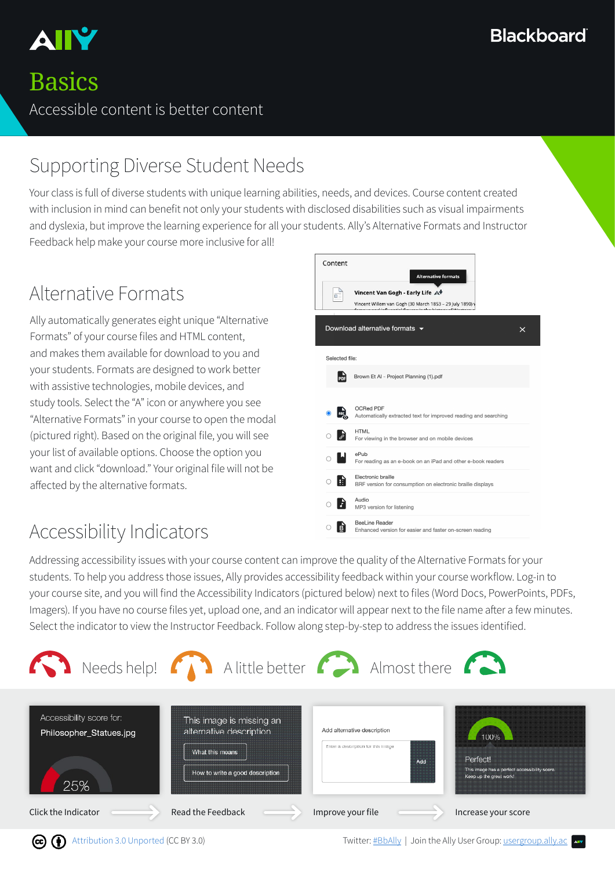

### **Basics**

Accessible content is better content

### Supporting Diverse Student Needs

Your class is full of diverse students with unique learning abilities, needs, and devices. Course content created with inclusion in mind can benefit not only your students with disclosed disabilities such as visual impairments and dyslexia, but improve the learning experience for all your students. Ally's Alternative Formats and Instructor Feedback help make your course more inclusive for all!

### Alternative Formats

Ally automatically generates eight unique "Alternative Formats" of your course files and HTML content, and makes them available for download to you and your students. Formats are designed to work better with assistive technologies, mobile devices, and study tools. Select the "A" icon or anywhere you see "Alternative Formats" in your course to open the modal (pictured right). Based on the original file, you will see your list of available options. Choose the option you want and click "download." Your original file will not be affected by the alternative formats.

### Accessibility Indicators



Addressing accessibility issues with your course content can improve the quality of the Alternative Formats for your students. To help you address those issues, Ally provides accessibility feedback within your course workflow. Log-in to your course site, and you will find the Accessibility Indicators (pictured below) next to files (Word Docs, PowerPoints, PDFs, Imagers). If you have no course files yet, upload one, and an indicator will appear next to the file name after a few minutes. Select the indicator to view the Instructor Feedback. Follow along step-by-step to address the issues identified.

|                                                            | <b>A</b> Needs help! <b>A</b> Alittle better <b>A</b> Almost there <b>A</b>                               |                                                                          |                                                                                              |
|------------------------------------------------------------|-----------------------------------------------------------------------------------------------------------|--------------------------------------------------------------------------|----------------------------------------------------------------------------------------------|
| Accessibility score for:<br>Philosopher_Statues.jpg<br>25% | This image is missing an<br>alternative description<br>What this means<br>How to write a good description | Add alternative description<br>Enter a description for this image<br>Add | 100%<br>Perfect!<br>This image has a perfect accessibility score.<br>Keep up the great work! |
| Click the Indicator                                        | Read the Feedback                                                                                         | Improve your file                                                        | Increase your score                                                                          |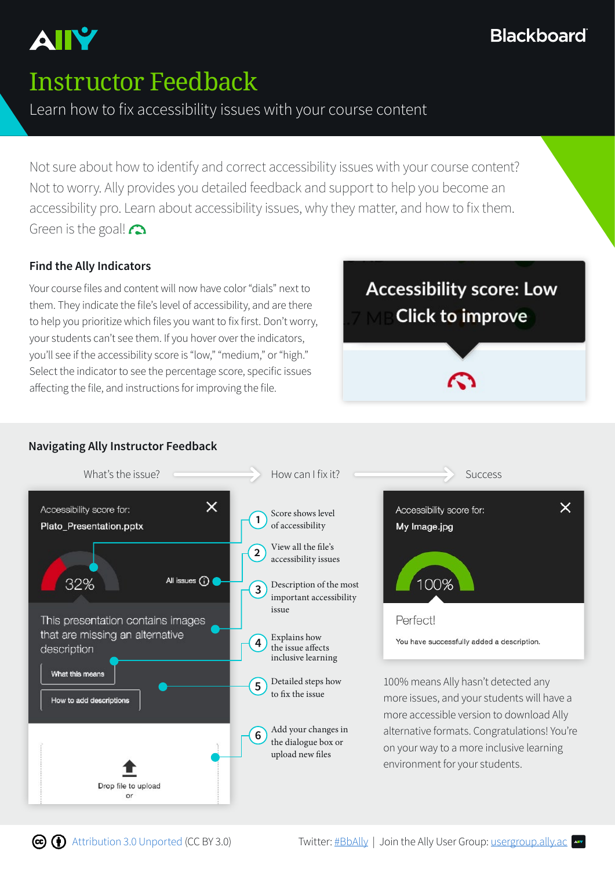### **Blackboard**

## Instructor Feedback

#### Learn how to fix accessibility issues with your course content

Not sure about how to identify and correct accessibility issues with your course content? Not to worry. Ally provides you detailed feedback and support to help you become an accessibility pro. Learn about accessibility issues, why they matter, and how to fix them. Green is the goal! $\bigcap$ 

#### **Find the Ally Indicators**

Your course files and content will now have color "dials" next to them. They indicate the file's level of accessibility, and are there to help you prioritize which files you want to fix first. Don't worry, your students can't see them. If you hover over the indicators, you'll see if the accessibility score is "low," "medium," or "high." Select the indicator to see the percentage score, specific issues affecting the file, and instructions for improving the file.

**Accessibility score: Low Click to improve** 



#### **Navigating Ally Instructor Feedback**

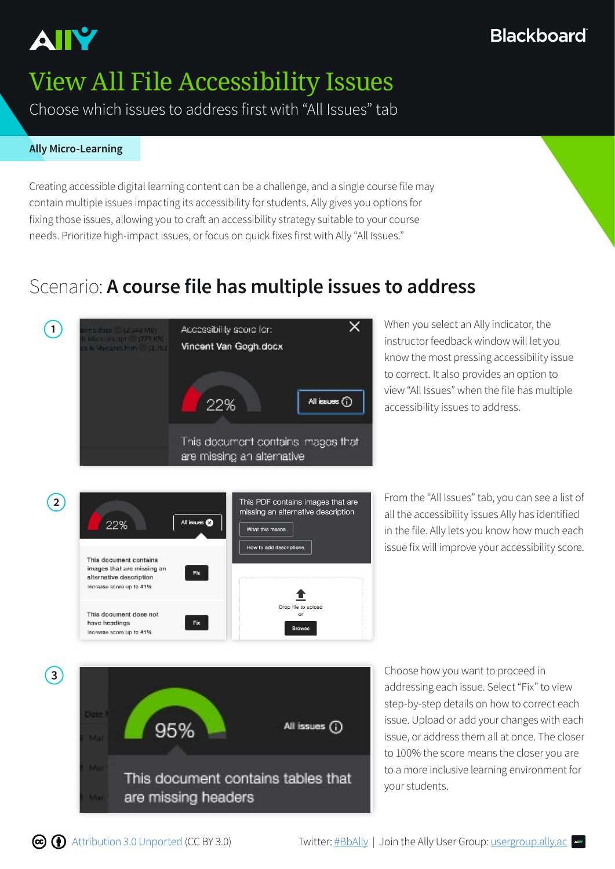

# View All File Accessibility Issues

Choose which issues to address first with "All Issues" tab

#### **Ally Micro-Learning**

Creating accessible digital learning content can be a challenge, and a single course file may contain multiple issues impacting its accessibility for students. Ally gives you options for fixing those issues, allowing you to craft an accessibility strategy suitable to your course needs. Prioritize high-impact issues, or focus on quick fixes first with Ally "All Issues."

### Scenario: **A course file has multiple issues to address**

What this means How to add descriptions

Drop file to upload



All issues @

Fix.

Fix.

22%

This document contains images that are missing an

alternative description Increase score up to 41%

This document does not have headings

Increase score up to 41%

instructor feedback window will let you know the most pressing accessibility issue to correct. It also provides an option to view "All Issues" when the file has multiple accessibility issues to address.

**2 2 Exercise 1** From the "All Issues" tab, you can see a list of **2 From** the "All Issues" tab, you can see a list of **1 Exercise 1 Exercise 1 Exercise 1 Exercise 1 Exercise 1 Exercise 1 Exercise 1 E** all the accessibility issues Ally has identified in the file. Ally lets you know how much each issue fix will improve your accessibility score.



addressing each issue. Select "Fix" to view step-by-step details on how to correct each issue. Upload or add your changes with each issue, or address them all at once. The closer to 100% the score means the closer you are to a more inclusive learning environment for your students.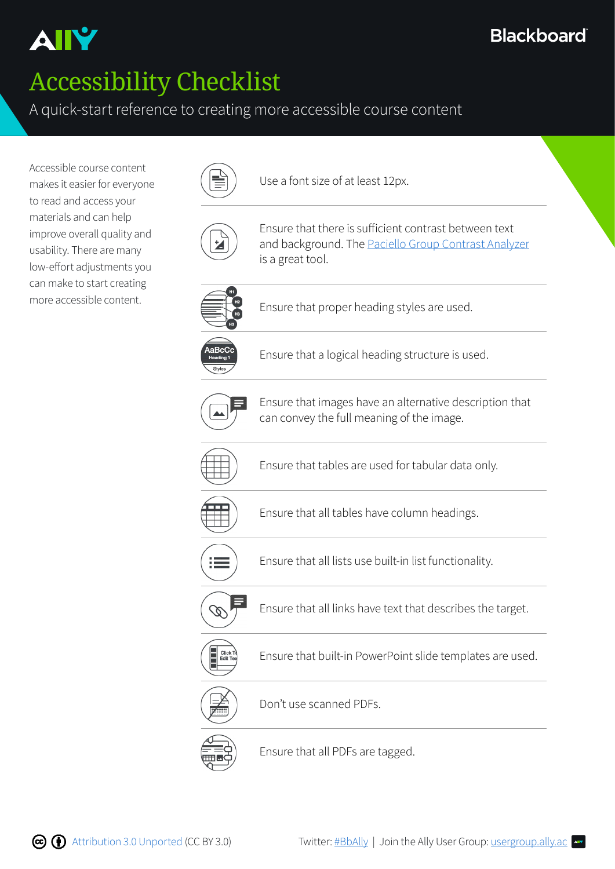# Accessibility Checklist

#### A quick-start reference to creating more accessible course content

Accessible course content makes it easier for everyone to read and access your materials and can help improve overall quality and usability. There are many low-effort adjustments you can make to start creating more accessible content.



Use a font size of at least 12px.



Ensure that there is sufficient contrast between text and background. The [Paciello Group Contrast Analyzer](https://www.paciellogroup.com/resources/contrastanalyser/) is a great tool.



Ensure that proper heading styles are used.



Ensure that a logical heading structure is used.



Ensure that images have an alternative description that can convey the full meaning of the image.



Ensure that tables are used for tabular data only.



Ensure that all tables have column headings.



Ensure that all lists use built-in list functionality.



Ensure that all links have text that describes the target.



Ensure that built-in PowerPoint slide templates are used.



Don't use scanned PDFs.



Ensure that all PDFs are tagged.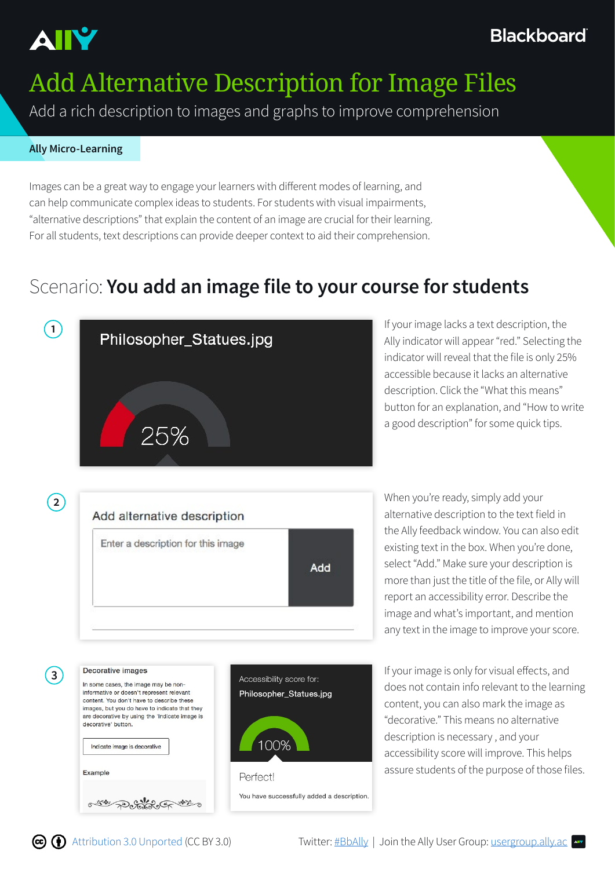

# Add Alternative Description for Image Files

Add a rich description to images and graphs to improve comprehension

#### **Ally Micro-Learning**

Images can be a great way to engage your learners with different modes of learning, and can help communicate complex ideas to students. For students with visual impairments, "alternative descriptions" that explain the content of an image are crucial for their learning. For all students, text descriptions can provide deeper context to aid their comprehension.

### Scenario: **You add an image file to your course for students**

Philosopher\_Statues.jpg

You have successfully added a description.

100%

Perfectl



Ally indicator will appear "red." Selecting the indicator will reveal that the file is only 25% accessible because it lacks an alternative description. Click the "What this means" button for an explanation, and "How to write a good description" for some quick tips.

**2** When you're ready, simply add your Add alternative description Enter a description for this image Add

alternative description to the text field in the Ally feedback window. You can also edit existing text in the box. When you're done, select "Add." Make sure your description is more than just the title of the file, or Ally will report an accessibility error. Describe the image and what's important, and mention any text in the image to improve your score.

**3** If your image is only for visual effects, and<br>In some cases, the image may be non-<br>Accessibility score for: does not contain info relevant to the learning content, you can also mark the image as "decorative." This means no alternative description is necessary , and your accessibility score will improve. This helps assure students of the purpose of those files.



informative or doesn't represent relevant

content. You don't have to describe these images, but you do have to indicate that they are decorative by using the 'Indicate image is

Indicate image is decorative

decorative' button.

Example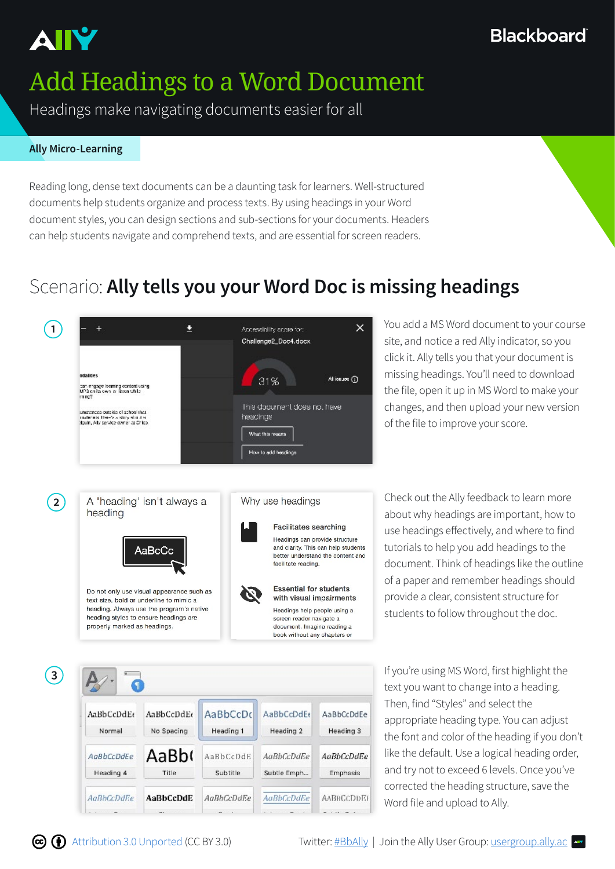

# Add Headings to a Word Document

Headings make navigating documents easier for all

#### **Ally Micro-Learning**

Reading long, dense text documents can be a daunting task for learners. Well-structured documents help students organize and process texts. By using headings in your Word document styles, you can design sections and sub-sections for your documents. Headers can help students navigate and comprehend texts, and are essential for screen readers.

### Scenario: **Ally tells you your Word Doc is missing headings**



site, and notice a red Ally indicator, so you click it. Ally tells you that your document is missing headings. You'll need to download the file, open it up in MS Word to make your changes, and then upload your new version of the file to improve your score.



about why headings are important, how to use headings effectively, and where to find tutorials to help you add headings to the document. Think of headings like the outline of a paper and remember headings should provide a clear, consistent structure for students to follow throughout the doc.

**3** If you're using MS Word, first highlight the AaBbCcDdEe AaBbCcDdEe AaBbCcDc AaBbCcDdE6 AaBbCcDdFe No Spacing Heading 3 Normal Heading 1 Heading 2 AaBb( AaBbCcDdEe AaBbCcDdE **AaBbCcDdEe AaBbCcDdEe** Heading 4 Title Subtitle Subtle Emph... Emphasis AaBbCcDdE AaBhCcDdEe AaBbCcDdEe **AaBbCcDdEe AABBCCDDEF** 

text you want to change into a heading. Then, find "Styles" and select the appropriate heading type. You can adjust the font and color of the heading if you don't like the default. Use a logical heading order, and try not to exceed 6 levels. Once you've corrected the heading structure, save the Word file and upload to Ally.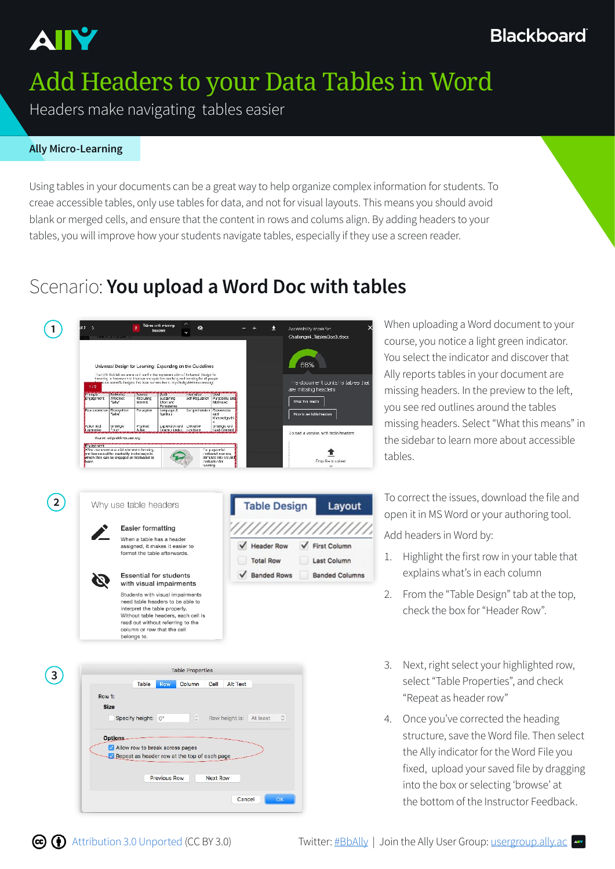

# Add Headers to your Data Tables in Word

Headers make navigating tables easier

#### **Ally Micro-Learning**

Using tables in your documents can be a great way to help organize complex information for students. To creae accessible tables, only use tables for data, and not for visual layouts. This means you should avoid blank or merged cells, and ensure that the content in rows and colums align. By adding headers to your tables, you will improve how your students navigate tables, especially if they use a screen reader.

#### Scenario: **You upload a Word Doc with tables**



course, you notice a light green indicator. You select the indicator and discover that Ally reports tables in your document are missing headers. In the preview to the left, you see red outlines around the tables missing headers. Select "What this means" in the sidebar to learn more about accessible tables.





Students with visual impairments need table headers to be able to interpret the table properly. Without table headers, each cell is read out without referring to the<br>column or row that the cell belongs to



**2** Why use table headers **Table Design Layout** To correct the issues, download the file and open it in MS Word or your authoring tool.

Add headers in Word by:

- 1. Highlight the first row in your table that explains what's in each column
- 2. From the "Table Design" tab at the top, check the box for "Header Row".
- 3. Next, right select your highlighted row, select "Table Properties", and check "Repeat as header row"
- 4. Once you've corrected the heading structure, save the Word file. Then select the Ally indicator for the Word File you fixed, upload your saved file by dragging into the box or selecting 'browse' at the bottom of the Instructor Feedback.